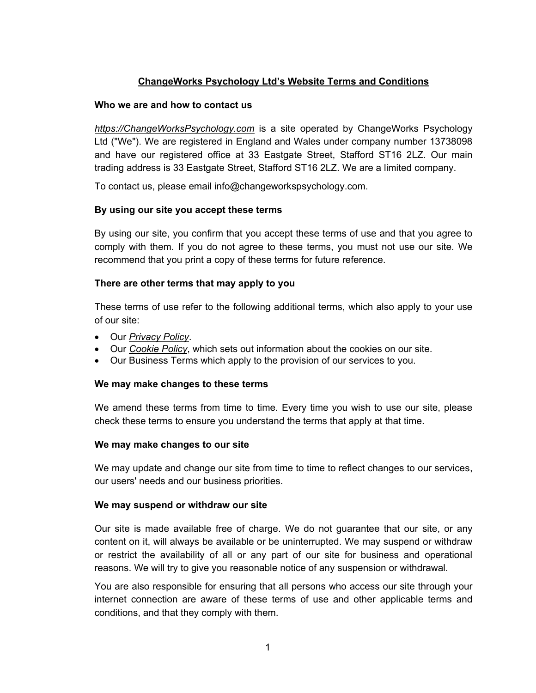# **ChangeWorks Psychology Ltd's Website Terms and Conditions**

#### **Who we are and how to contact us**

*[https://ChangeWorksPsychology.com](https://changeworkspsychology.com/)* is a site operated by ChangeWorks Psychology Ltd ("We"). We are registered in England and Wales under company number 13738098 and have our registered office at 33 Eastgate Street, Stafford ST16 2LZ. Our main trading address is 33 Eastgate Street, Stafford ST16 2LZ. We are a limited company.

To contact us, please email info@changeworkspsychology.com.

## **By using our site you accept these terms**

By using our site, you confirm that you accept these terms of use and that you agree to comply with them. If you do not agree to these terms, you must not use our site. We recommend that you print a copy of these terms for future reference.

## **There are other terms that may apply to you**

These terms of use refer to the following additional terms, which also apply to your use of our site:

- Our *[Privacy Policy](https://changeworkspsychology.com/wp-content/uploads/2022/01/privacy-policy.pdf)*.
- Our *[Cookie Policy](https://changeworkspsychology.com/wp-content/uploads/2022/02/Cookies-Policy.pdf)*, which sets out information about the cookies on our site.
- Our Business Terms which apply to the provision of our services to you.

## **We may make changes to these terms**

We amend these terms from time to time. Every time you wish to use our site, please check these terms to ensure you understand the terms that apply at that time.

## **We may make changes to our site**

We may update and change our site from time to time to reflect changes to our services, our users' needs and our business priorities.

## **We may suspend or withdraw our site**

Our site is made available free of charge. We do not guarantee that our site, or any content on it, will always be available or be uninterrupted. We may suspend or withdraw or restrict the availability of all or any part of our site for business and operational reasons. We will try to give you reasonable notice of any suspension or withdrawal.

You are also responsible for ensuring that all persons who access our site through your internet connection are aware of these terms of use and other applicable terms and conditions, and that they comply with them.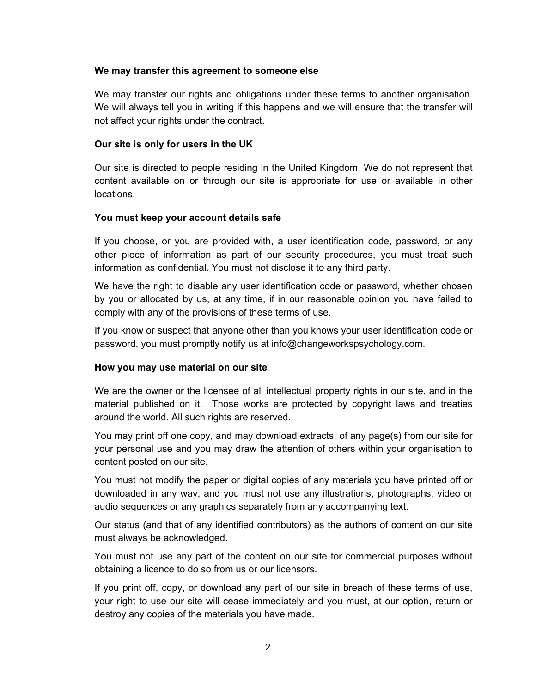#### **We may transfer this agreement to someone else**

We may transfer our rights and obligations under these terms to another organisation. We will always tell you in writing if this happens and we will ensure that the transfer will not affect your rights under the contract.

#### **Our site is only for users in the UK**

Our site is directed to people residing in the United Kingdom. We do not represent that content available on or through our site is appropriate for use or available in other locations.

#### **You must keep your account details safe**

If you choose, or you are provided with, a user identification code, password, or any other piece of information as part of our security procedures, you must treat such information as confidential. You must not disclose it to any third party.

We have the right to disable any user identification code or password, whether chosen by you or allocated by us, at any time, if in our reasonable opinion you have failed to comply with any of the provisions of these terms of use.

If you know or suspect that anyone other than you knows your user identification code or password, you must promptly notify us at info@changeworkspsychology.com.

## **How you may use material on our site**

We are the owner or the licensee of all intellectual property rights in our site, and in the material published on it. Those works are protected by copyright laws and treaties around the world. All such rights are reserved.

You may print off one copy, and may download extracts, of any page(s) from our site for your personal use and you may draw the attention of others within your organisation to content posted on our site.

You must not modify the paper or digital copies of any materials you have printed off or downloaded in any way, and you must not use any illustrations, photographs, video or audio sequences or any graphics separately from any accompanying text.

Our status (and that of any identified contributors) as the authors of content on our site must always be acknowledged.

You must not use any part of the content on our site for commercial purposes without obtaining a licence to do so from us or our licensors.

If you print off, copy, or download any part of our site in breach of these terms of use, your right to use our site will cease immediately and you must, at our option, return or destroy any copies of the materials you have made.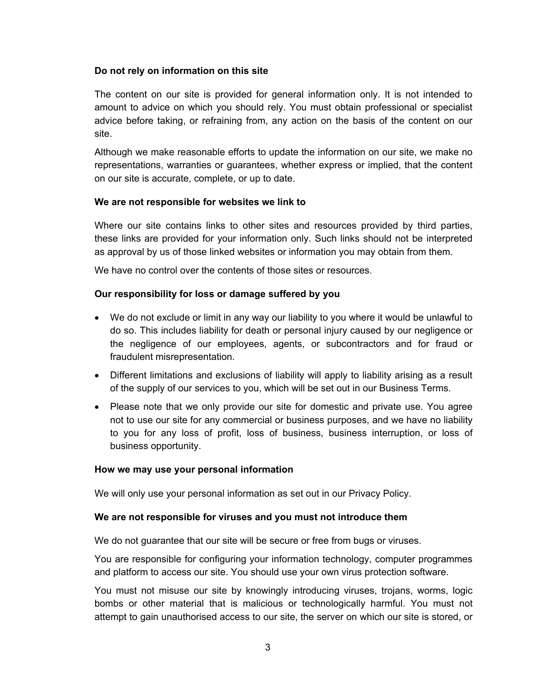### **Do not rely on information on this site**

The content on our site is provided for general information only. It is not intended to amount to advice on which you should rely. You must obtain professional or specialist advice before taking, or refraining from, any action on the basis of the content on our site.

Although we make reasonable efforts to update the information on our site, we make no representations, warranties or guarantees, whether express or implied, that the content on our site is accurate, complete, or up to date.

#### **We are not responsible for websites we link to**

Where our site contains links to other sites and resources provided by third parties, these links are provided for your information only. Such links should not be interpreted as approval by us of those linked websites or information you may obtain from them.

We have no control over the contents of those sites or resources.

#### **Our responsibility for loss or damage suffered by you**

- We do not exclude or limit in any way our liability to you where it would be unlawful to do so. This includes liability for death or personal injury caused by our negligence or the negligence of our employees, agents, or subcontractors and for fraud or fraudulent misrepresentation.
- Different limitations and exclusions of liability will apply to liability arising as a result of the supply of our services to you, which will be set out in our Business Terms.
- Please note that we only provide our site for domestic and private use. You agree not to use our site for any commercial or business purposes, and we have no liability to you for any loss of profit, loss of business, business interruption, or loss of business opportunity.

#### **How we may use your personal information**

We will only use your personal information as set out in our Privacy Policy.

#### **We are not responsible for viruses and you must not introduce them**

We do not guarantee that our site will be secure or free from bugs or viruses.

You are responsible for configuring your information technology, computer programmes and platform to access our site. You should use your own virus protection software.

You must not misuse our site by knowingly introducing viruses, trojans, worms, logic bombs or other material that is malicious or technologically harmful. You must not attempt to gain unauthorised access to our site, the server on which our site is stored, or